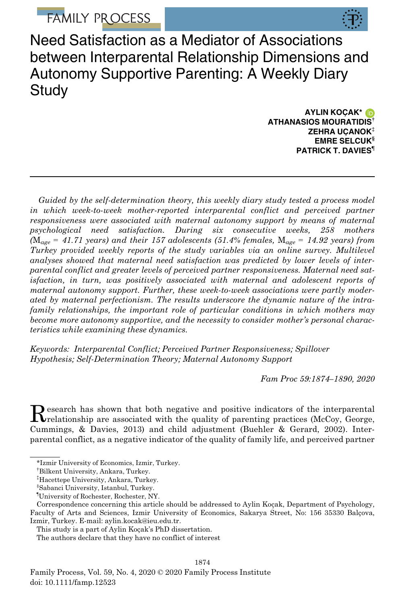

Need Satisfaction as a Mediator of Associations between Interparental Relationship Dimensions and Autonomy Supportive Parenting: A Weekly Diary **Study** 

> AYLIN KOCAK\* ATHANASIOS MOURATIDIS† ZEHRA UCANOK‡ EMRE SELCUK§ PATRICK T. DAVIES¶

Guided by the self-determination theory, this weekly diary study tested a process model in which week-to-week mother-reported interparental conflict and perceived partner responsiveness were associated with maternal autonomy support by means of maternal psychological need satisfaction. During six consecutive weeks, 258 mothers ( $M_{\text{age}}$  = 41.71 years) and their 157 adolescents (51.4% females,  $M_{\text{age}}$  = 14.92 years) from Turkey provided weekly reports of the study variables via an online survey. Multilevel analyses showed that maternal need satisfaction was predicted by lower levels of interparental conflict and greater levels of perceived partner responsiveness. Maternal need satisfaction, in turn, was positively associated with maternal and adolescent reports of maternal autonomy support. Further, these week-to-week associations were partly moderated by maternal perfectionism. The results underscore the dynamic nature of the intrafamily relationships, the important role of particular conditions in which mothers may become more autonomy supportive, and the necessity to consider mother's personal characteristics while examining these dynamics.

Keywords: Interparental Conflict; Perceived Partner Responsiveness; Spillover Hypothesis; Self-Determination Theory; Maternal Autonomy Support

Fam Proc 59:1874–1890, 2020

Research has shown that both negative and positive indicators of the interparental<br>relationship are associated with the quality of parenting practices (McCoy, George, Cummings, & Davies, 2013) and child adjustment (Buehler & Gerard, 2002). Interparental conflict, as a negative indicator of the quality of family life, and perceived partner

Family Process, Vol. 59, No. 4, 2020 © 2020 Family Process Institute doi: 10.1111/famp.12523

<sup>\*</sup>Izmir University of Economics, Izmir, Turkey.

<sup>†</sup> Bilkent University, Ankara, Turkey.

<sup>‡</sup> Hacettepe University, Ankara, Turkey.

<sup>§</sup> Sabanci University, Istanbul, Turkey.

<sup>¶</sup> University of Rochester, Rochester, NY.

Correspondence concerning this article should be addressed to Aylin Koçak, Department of Psychology, Faculty of Arts and Sciences, Izmir University of Economics, Sakarya Street, No: 156 35330 Balcova, Izmir, Turkey. E-mail: [aylin.kocak@ieu.edu.tr](mailto:aylin.kocak@ieu.edu.tr).

This study is a part of Aylin Koçak's PhD dissertation.

The authors declare that they have no conflict of interest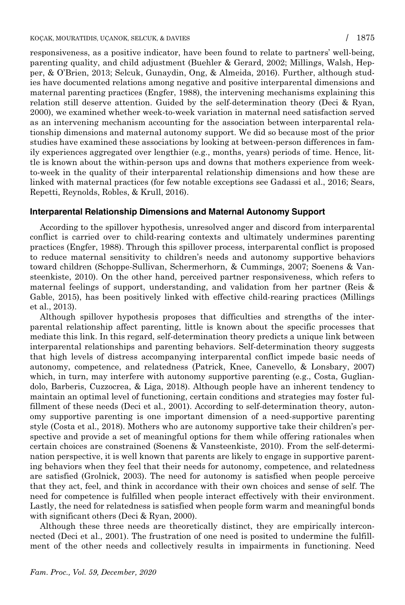responsiveness, as a positive indicator, have been found to relate to partners' well-being, parenting quality, and child adjustment (Buehler & Gerard, 2002; Millings, Walsh, Hepper, & O'Brien, 2013; Selcuk, Gunaydin, Ong, & Almeida, 2016). Further, although studies have documented relations among negative and positive interparental dimensions and maternal parenting practices (Engfer, 1988), the intervening mechanisms explaining this relation still deserve attention. Guided by the self-determination theory (Deci & Ryan, 2000), we examined whether week-to-week variation in maternal need satisfaction served as an intervening mechanism accounting for the association between interparental relationship dimensions and maternal autonomy support. We did so because most of the prior studies have examined these associations by looking at between-person differences in family experiences aggregated over lengthier (e.g., months, years) periods of time. Hence, little is known about the within-person ups and downs that mothers experience from weekto-week in the quality of their interparental relationship dimensions and how these are linked with maternal practices (for few notable exceptions see Gadassi et al., 2016; Sears, Repetti, Reynolds, Robles, & Krull, 2016).

# Interparental Relationship Dimensions and Maternal Autonomy Support

According to the spillover hypothesis, unresolved anger and discord from interparental conflict is carried over to child-rearing contexts and ultimately undermines parenting practices (Engfer, 1988). Through this spillover process, interparental conflict is proposed to reduce maternal sensitivity to children's needs and autonomy supportive behaviors toward children (Schoppe-Sullivan, Schermerhorn, & Cummings, 2007; Soenens & Vansteenkiste, 2010). On the other hand, perceived partner responsiveness, which refers to maternal feelings of support, understanding, and validation from her partner (Reis & Gable, 2015), has been positively linked with effective child-rearing practices (Millings et al., 2013).

Although spillover hypothesis proposes that difficulties and strengths of the interparental relationship affect parenting, little is known about the specific processes that mediate this link. In this regard, self-determination theory predicts a unique link between interparental relationships and parenting behaviors. Self-determination theory suggests that high levels of distress accompanying interparental conflict impede basic needs of autonomy, competence, and relatedness (Patrick, Knee, Canevello, & Lonsbary, 2007) which, in turn, may interfere with autonomy supportive parenting (e.g., Costa, Gugliandolo, Barberis, Cuzzocrea, & Liga, 2018). Although people have an inherent tendency to maintain an optimal level of functioning, certain conditions and strategies may foster fulfillment of these needs (Deci et al., 2001). According to self-determination theory, autonomy supportive parenting is one important dimension of a need-supportive parenting style (Costa et al., 2018). Mothers who are autonomy supportive take their children's perspective and provide a set of meaningful options for them while offering rationales when certain choices are constrained (Soenens & Vansteenkiste, 2010). From the self-determination perspective, it is well known that parents are likely to engage in supportive parenting behaviors when they feel that their needs for autonomy, competence, and relatedness are satisfied (Grolnick, 2003). The need for autonomy is satisfied when people perceive that they act, feel, and think in accordance with their own choices and sense of self. The need for competence is fulfilled when people interact effectively with their environment. Lastly, the need for relatedness is satisfied when people form warm and meaningful bonds with significant others (Deci & Ryan, 2000).

Although these three needs are theoretically distinct, they are empirically interconnected (Deci et al., 2001). The frustration of one need is posited to undermine the fulfillment of the other needs and collectively results in impairments in functioning. Need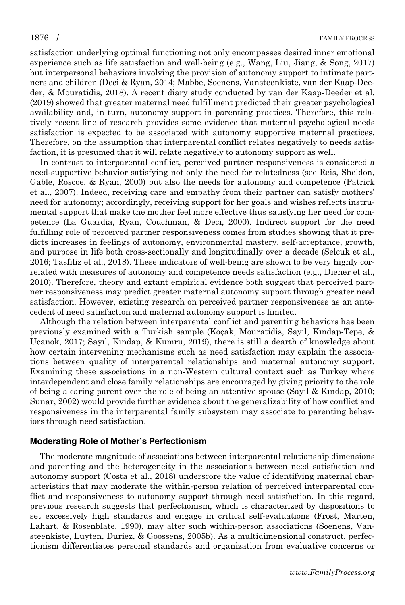satisfaction underlying optimal functioning not only encompasses desired inner emotional experience such as life satisfaction and well-being (e.g., Wang, Liu, Jiang, & Song, 2017) but interpersonal behaviors involving the provision of autonomy support to intimate partners and children (Deci & Ryan, 2014; Mabbe, Soenens, Vansteenkiste, van der Kaap-Deeder, & Mouratidis, 2018). A recent diary study conducted by van der Kaap-Deeder et al. (2019) showed that greater maternal need fulfillment predicted their greater psychological availability and, in turn, autonomy support in parenting practices. Therefore, this relatively recent line of research provides some evidence that maternal psychological needs satisfaction is expected to be associated with autonomy supportive maternal practices. Therefore, on the assumption that interparental conflict relates negatively to needs satisfaction, it is presumed that it will relate negatively to autonomy support as well.

In contrast to interparental conflict, perceived partner responsiveness is considered a need-supportive behavior satisfying not only the need for relatedness (see Reis, Sheldon, Gable, Roscoe, & Ryan, 2000) but also the needs for autonomy and competence (Patrick et al., 2007). Indeed, receiving care and empathy from their partner can satisfy mothers' need for autonomy; accordingly, receiving support for her goals and wishes reflects instrumental support that make the mother feel more effective thus satisfying her need for competence (La Guardia, Ryan, Couchman, & Deci, 2000). Indirect support for the need fulfilling role of perceived partner responsiveness comes from studies showing that it predicts increases in feelings of autonomy, environmental mastery, self-acceptance, growth, and purpose in life both cross-sectionally and longitudinally over a decade (Selcuk et al., 2016; Tasfiliz et al., 2018). These indicators of well-being are shown to be very highly correlated with measures of autonomy and competence needs satisfaction (e.g., Diener et al., 2010). Therefore, theory and extant empirical evidence both suggest that perceived partner responsiveness may predict greater maternal autonomy support through greater need satisfaction. However, existing research on perceived partner responsiveness as an antecedent of need satisfaction and maternal autonomy support is limited.

Although the relation between interparental conflict and parenting behaviors has been previously examined with a Turkish sample (Kocak, Mouratidis, Sayıl, Kındap-Tepe, & Ucanok, 2017; Sayıl, Kındap, & Kumru, 2019), there is still a dearth of knowledge about how certain intervening mechanisms such as need satisfaction may explain the associations between quality of interparental relationships and maternal autonomy support. Examining these associations in a non-Western cultural context such as Turkey where interdependent and close family relationships are encouraged by giving priority to the role of being a caring parent over the role of being an attentive spouse (Sayıl & Kındap, 2010; Sunar, 2002) would provide further evidence about the generalizability of how conflict and responsiveness in the interparental family subsystem may associate to parenting behaviors through need satisfaction.

# Moderating Role of Mother's Perfectionism

The moderate magnitude of associations between interparental relationship dimensions and parenting and the heterogeneity in the associations between need satisfaction and autonomy support (Costa et al., 2018) underscore the value of identifying maternal characteristics that may moderate the within-person relation of perceived interparental conflict and responsiveness to autonomy support through need satisfaction. In this regard, previous research suggests that perfectionism, which is characterized by dispositions to set excessively high standards and engage in critical self-evaluations (Frost, Marten, Lahart, & Rosenblate, 1990), may alter such within-person associations (Soenens, Vansteenkiste, Luyten, Duriez, & Goossens, 2005b). As a multidimensional construct, perfectionism differentiates personal standards and organization from evaluative concerns or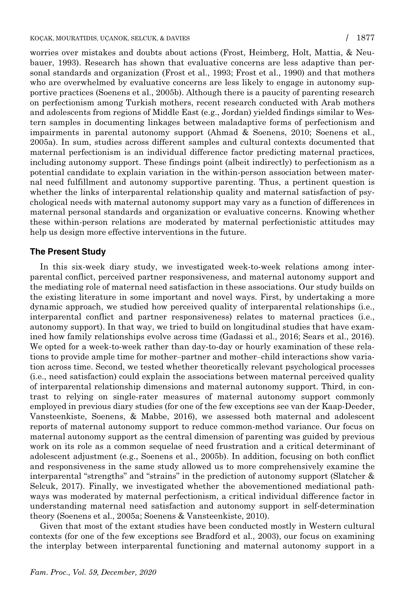worries over mistakes and doubts about actions (Frost, Heimberg, Holt, Mattia, & Neubauer, 1993). Research has shown that evaluative concerns are less adaptive than personal standards and organization (Frost et al., 1993; Frost et al., 1990) and that mothers who are overwhelmed by evaluative concerns are less likely to engage in autonomy supportive practices (Soenens et al., 2005b). Although there is a paucity of parenting research on perfectionism among Turkish mothers, recent research conducted with Arab mothers and adolescents from regions of Middle East (e.g., Jordan) yielded findings similar to Western samples in documenting linkages between maladaptive forms of perfectionism and impairments in parental autonomy support (Ahmad & Soenens, 2010; Soenens et al., 2005a). In sum, studies across different samples and cultural contexts documented that maternal perfectionism is an individual difference factor predicting maternal practices, including autonomy support. These findings point (albeit indirectly) to perfectionism as a potential candidate to explain variation in the within-person association between maternal need fulfillment and autonomy supportive parenting. Thus, a pertinent question is whether the links of interparental relationship quality and maternal satisfaction of psychological needs with maternal autonomy support may vary as a function of differences in maternal personal standards and organization or evaluative concerns. Knowing whether these within-person relations are moderated by maternal perfectionistic attitudes may help us design more effective interventions in the future.

## The Present Study

In this six-week diary study, we investigated week-to-week relations among interparental conflict, perceived partner responsiveness, and maternal autonomy support and the mediating role of maternal need satisfaction in these associations. Our study builds on the existing literature in some important and novel ways. First, by undertaking a more dynamic approach, we studied how perceived quality of interparental relationships (i.e., interparental conflict and partner responsiveness) relates to maternal practices (i.e., autonomy support). In that way, we tried to build on longitudinal studies that have examined how family relationships evolve across time (Gadassi et al., 2016; Sears et al., 2016). We opted for a week-to-week rather than day-to-day or hourly examination of these relations to provide ample time for mother–partner and mother–child interactions show variation across time. Second, we tested whether theoretically relevant psychological processes (i.e., need satisfaction) could explain the associations between maternal perceived quality of interparental relationship dimensions and maternal autonomy support. Third, in contrast to relying on single-rater measures of maternal autonomy support commonly employed in previous diary studies (for one of the few exceptions see van der Kaap-Deeder, Vansteenkiste, Soenens, & Mabbe, 2016), we assessed both maternal and adolescent reports of maternal autonomy support to reduce common-method variance. Our focus on maternal autonomy support as the central dimension of parenting was guided by previous work on its role as a common sequelae of need frustration and a critical determinant of adolescent adjustment (e.g., Soenens et al., 2005b). In addition, focusing on both conflict and responsiveness in the same study allowed us to more comprehensively examine the interparental "strengths" and "strains" in the prediction of autonomy support (Slatcher & Selcuk, 2017). Finally, we investigated whether the abovementioned mediational pathways was moderated by maternal perfectionism, a critical individual difference factor in understanding maternal need satisfaction and autonomy support in self-determination theory (Soenens et al., 2005a; Soenens & Vansteenkiste, 2010).

Given that most of the extant studies have been conducted mostly in Western cultural contexts (for one of the few exceptions see Bradford et al., 2003), our focus on examining the interplay between interparental functioning and maternal autonomy support in a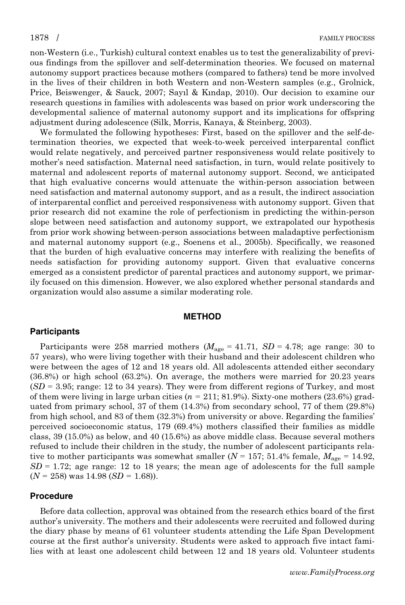non-Western (i.e., Turkish) cultural context enables us to test the generalizability of previous findings from the spillover and self-determination theories. We focused on maternal autonomy support practices because mothers (compared to fathers) tend be more involved in the lives of their children in both Western and non-Western samples (e.g., Grolnick, Price, Beiswenger, & Sauck, 2007; Sayıl & Kındap, 2010). Our decision to examine our research questions in families with adolescents was based on prior work underscoring the developmental salience of maternal autonomy support and its implications for offspring adjustment during adolescence (Silk, Morris, Kanaya, & Steinberg, 2003).

We formulated the following hypotheses: First, based on the spillover and the self-determination theories, we expected that week-to-week perceived interparental conflict would relate negatively, and perceived partner responsiveness would relate positively to mother's need satisfaction. Maternal need satisfaction, in turn, would relate positively to maternal and adolescent reports of maternal autonomy support. Second, we anticipated that high evaluative concerns would attenuate the within-person association between need satisfaction and maternal autonomy support, and as a result, the indirect association of interparental conflict and perceived responsiveness with autonomy support. Given that prior research did not examine the role of perfectionism in predicting the within-person slope between need satisfaction and autonomy support, we extrapolated our hypothesis from prior work showing between-person associations between maladaptive perfectionism and maternal autonomy support (e.g., Soenens et al., 2005b). Specifically, we reasoned that the burden of high evaluative concerns may interfere with realizing the benefits of needs satisfaction for providing autonomy support. Given that evaluative concerns emerged as a consistent predictor of parental practices and autonomy support, we primarily focused on this dimension. However, we also explored whether personal standards and organization would also assume a similar moderating role.

### METHOD

## **Participants**

Participants were 258 married mothers ( $M_{\text{age}} = 41.71$ ,  $SD = 4.78$ ; age range: 30 to 57 years), who were living together with their husband and their adolescent children who were between the ages of 12 and 18 years old. All adolescents attended either secondary (36.8%) or high school (63.2%). On average, the mothers were married for 20.23 years  $(SD = 3.95;$  range: 12 to 34 years). They were from different regions of Turkey, and most of them were living in large urban cities ( $n = 211$ ; 81.9%). Sixty-one mothers (23.6%) graduated from primary school, 37 of them (14.3%) from secondary school, 77 of them (29.8%) from high school, and 83 of them (32.3%) from university or above. Regarding the families' perceived socioeconomic status, 179 (69.4%) mothers classified their families as middle class, 39 (15.0%) as below, and 40 (15.6%) as above middle class. Because several mothers refused to include their children in the study, the number of adolescent participants relative to mother participants was somewhat smaller  $(N = 157; 51.4\%$  female,  $M_{\text{age}} = 14.92$ ,  $SD = 1.72$ ; age range: 12 to 18 years; the mean age of adolescents for the full sample  $(N = 258)$  was 14.98  $(SD = 1.68)$ ).

### Procedure

Before data collection, approval was obtained from the research ethics board of the first author's university. The mothers and their adolescents were recruited and followed during the diary phase by means of 61 volunteer students attending the Life Span Development course at the first author's university. Students were asked to approach five intact families with at least one adolescent child between 12 and 18 years old. Volunteer students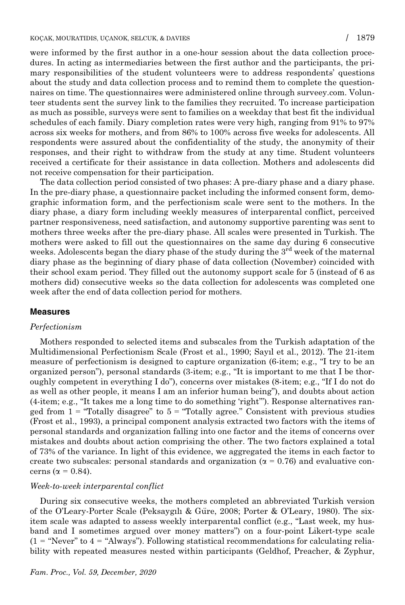were informed by the first author in a one-hour session about the data collection procedures. In acting as intermediaries between the first author and the participants, the primary responsibilities of the student volunteers were to address respondents' questions about the study and data collection process and to remind them to complete the questionnaires on time. The questionnaires were administered online through surveey.com. Volunteer students sent the survey link to the families they recruited. To increase participation as much as possible, surveys were sent to families on a weekday that best fit the individual schedules of each family. Diary completion rates were very high, ranging from 91% to 97% across six weeks for mothers, and from 86% to 100% across five weeks for adolescents. All respondents were assured about the confidentiality of the study, the anonymity of their responses, and their right to withdraw from the study at any time. Student volunteers received a certificate for their assistance in data collection. Mothers and adolescents did not receive compensation for their participation.

The data collection period consisted of two phases: A pre-diary phase and a diary phase. In the pre-diary phase, a questionnaire packet including the informed consent form, demographic information form, and the perfectionism scale were sent to the mothers. In the diary phase, a diary form including weekly measures of interparental conflict, perceived partner responsiveness, need satisfaction, and autonomy supportive parenting was sent to mothers three weeks after the pre-diary phase. All scales were presented in Turkish. The mothers were asked to fill out the questionnaires on the same day during 6 consecutive weeks. Adolescents began the diary phase of the study during the 3<sup>rd</sup> week of the maternal diary phase as the beginning of diary phase of data collection (November) coincided with their school exam period. They filled out the autonomy support scale for 5 (instead of 6 as mothers did) consecutive weeks so the data collection for adolescents was completed one week after the end of data collection period for mothers.

### Measures

## Perfectionism

Mothers responded to selected items and subscales from the Turkish adaptation of the Multidimensional Perfectionism Scale (Frost et al., 1990; Sayıl et al., 2012). The 21-item measure of perfectionism is designed to capture organization (6-item; e.g., "I try to be an organized person"), personal standards (3-item; e.g., "It is important to me that I be thoroughly competent in everything I do"), concerns over mistakes (8-item; e.g., "If I do not do as well as other people, it means I am an inferior human being"), and doubts about action (4-item; e.g., "It takes me a long time to do something 'right'"). Response alternatives ranged from  $1 =$  "Totally disagree" to  $5 =$  "Totally agree." Consistent with previous studies (Frost et al., 1993), a principal component analysis extracted two factors with the items of personal standards and organization falling into one factor and the items of concerns over mistakes and doubts about action comprising the other. The two factors explained a total of 73% of the variance. In light of this evidence, we aggregated the items in each factor to create two subscales: personal standards and organization ( $\alpha = 0.76$ ) and evaluative concerns ( $\alpha$  = 0.84).

### Week-to-week interparental conflict

During six consecutive weeks, the mothers completed an abbreviated Turkish version of the O'Leary-Porter Scale (Peksaygılı & Güre, 2008; Porter & O'Leary, 1980). The sixitem scale was adapted to assess weekly interparental conflict (e.g., "Last week, my husband and I sometimes argued over money matters") on a four-point Likert-type scale  $(1 - "Never" to 4 - "Always").$  Following statistical recommendations for calculating reliability with repeated measures nested within participants (Geldhof, Preacher, & Zyphur,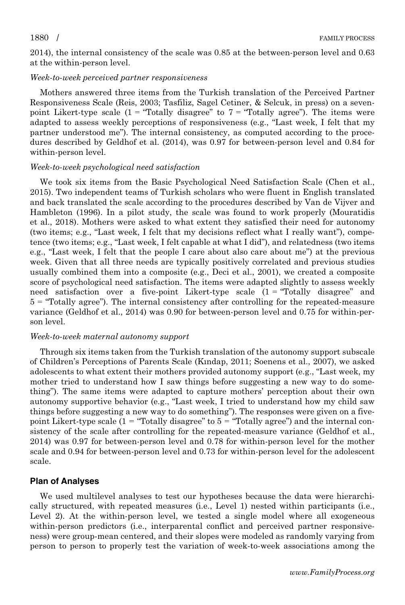2014), the internal consistency of the scale was 0.85 at the between-person level and 0.63 at the within-person level.

# Week-to-week perceived partner responsiveness

Mothers answered three items from the Turkish translation of the Perceived Partner Responsiveness Scale (Reis, 2003; Tasfiliz, Sagel Cetiner, & Selcuk, in press) on a sevenpoint Likert-type scale  $(1 - \text{``Totally disagree'' to 7} = \text{``Totally agree''}).$  The items were adapted to assess weekly perceptions of responsiveness (e.g., "Last week, I felt that my partner understood me"). The internal consistency, as computed according to the procedures described by Geldhof et al. (2014), was 0.97 for between-person level and 0.84 for within-person level.

# Week-to-week psychological need satisfaction

We took six items from the Basic Psychological Need Satisfaction Scale (Chen et al., 2015). Two independent teams of Turkish scholars who were fluent in English translated and back translated the scale according to the procedures described by Van de Vijver and Hambleton (1996). In a pilot study, the scale was found to work properly (Mouratidis et al., 2018). Mothers were asked to what extent they satisfied their need for autonomy (two items; e.g., "Last week, I felt that my decisions reflect what I really want"), competence (two items; e.g., "Last week, I felt capable at what I did"), and relatedness (two items e.g., "Last week, I felt that the people I care about also care about me") at the previous week. Given that all three needs are typically positively correlated and previous studies usually combined them into a composite (e.g., Deci et al., 2001), we created a composite score of psychological need satisfaction. The items were adapted slightly to assess weekly need satisfaction over a five-point Likert-type scale (1 = "Totally disagree" and 5 = "Totally agree"). The internal consistency after controlling for the repeated-measure variance (Geldhof et al., 2014) was 0.90 for between-person level and 0.75 for within-person level.

# Week-to-week maternal autonomy support

Through six items taken from the Turkish translation of the autonomy support subscale of Children's Perceptions of Parents Scale (Kındap, 2011; Soenens et al., 2007), we asked adolescents to what extent their mothers provided autonomy support (e.g., "Last week, my mother tried to understand how I saw things before suggesting a new way to do something"). The same items were adapted to capture mothers' perception about their own autonomy supportive behavior (e.g., "Last week, I tried to understand how my child saw things before suggesting a new way to do something"). The responses were given on a fivepoint Likert-type scale  $(1 -$  "Totally disagree" to  $5 -$  "Totally agree") and the internal consistency of the scale after controlling for the repeated-measure variance (Geldhof et al., 2014) was 0.97 for between-person level and 0.78 for within-person level for the mother scale and 0.94 for between-person level and 0.73 for within-person level for the adolescent scale.

# Plan of Analyses

We used multilevel analyses to test our hypotheses because the data were hierarchically structured, with repeated measures (i.e., Level 1) nested within participants (i.e., Level 2). At the within-person level, we tested a single model where all exogeneous within-person predictors (i.e., interparental conflict and perceived partner responsiveness) were group-mean centered, and their slopes were modeled as randomly varying from person to person to properly test the variation of week-to-week associations among the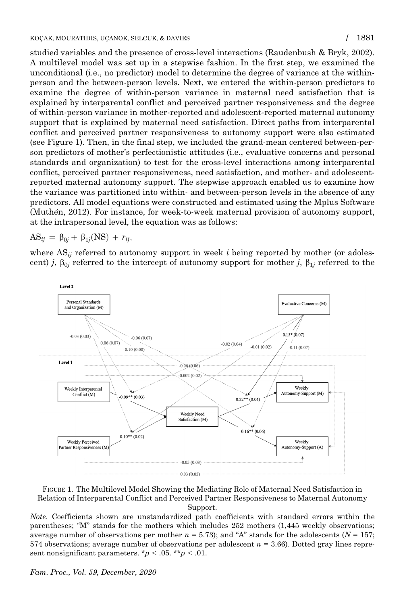studied variables and the presence of cross-level interactions (Raudenbush & Bryk, 2002). A multilevel model was set up in a stepwise fashion. In the first step, we examined the unconditional (i.e., no predictor) model to determine the degree of variance at the withinperson and the between-person levels. Next, we entered the within-person predictors to examine the degree of within-person variance in maternal need satisfaction that is explained by interparental conflict and perceived partner responsiveness and the degree of within-person variance in mother-reported and adolescent-reported maternal autonomy support that is explained by maternal need satisfaction. Direct paths from interparental conflict and perceived partner responsiveness to autonomy support were also estimated (see Figure 1). Then, in the final step, we included the grand-mean centered between-person predictors of mother's perfectionistic attitudes (i.e., evaluative concerns and personal standards and organization) to test for the cross-level interactions among interparental conflict, perceived partner responsiveness, need satisfaction, and mother- and adolescentreported maternal autonomy support. The stepwise approach enabled us to examine how the variance was partitioned into within- and between-person levels in the absence of any predictors. All model equations were constructed and estimated using the Mplus Software (Muthén, 2012). For instance, for week-to-week maternal provision of autonomy support, at the intrapersonal level, the equation was as follows:

$$
AS_{ij} = \beta_{0j} + \beta_{1j}(NS) + r_{ij},
$$

where  $AS_{ij}$  referred to autonomy support in week *i* being reported by mother (or adolescent) j,  $\beta_{0j}$  referred to the intercept of autonomy support for mother j,  $\beta_{1j}$  referred to the



FIGURE 1. The Multilevel Model Showing the Mediating Role of Maternal Need Satisfaction in Relation of Interparental Conflict and Perceived Partner Responsiveness to Maternal Autonomy Support.

Note. Coefficients shown are unstandardized path coefficients with standard errors within the parentheses; "M" stands for the mothers which includes 252 mothers (1,445 weekly observations; average number of observations per mother  $n = 5.73$ ); and "A" stands for the adolescents ( $N = 157$ ; 574 observations; average number of observations per adolescent  $n = 3.66$ ). Dotted gray lines represent nonsignificant parameters.  $\bm{p} < .05$ .  $\bm{p} \bm{p} < .01$ .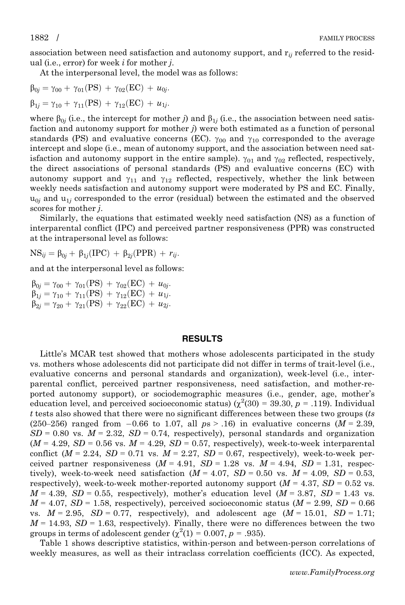association between need satisfaction and autonomy support, and  $r_{ii}$  referred to the residual (i.e., error) for week  $i$  for mother  $j$ .

At the interpersonal level, the model was as follows:

$$
\beta_{0j} = \gamma_{00} + \gamma_{01}(PS) + \gamma_{02}(EC) + u_{0j}.
$$
  

$$
\beta_{1j} = \gamma_{10} + \gamma_{11}(PS) + \gamma_{12}(EC) + u_{1j}.
$$

where  $\beta_{0j}$  (i.e., the intercept for mother j) and  $\beta_{1j}$  (i.e., the association between need satisfaction and autonomy support for mother j) were both estimated as a function of personal standards (PS) and evaluative concerns (EC).  $\gamma_{00}$  and  $\gamma_{10}$  corresponded to the average intercept and slope (i.e., mean of autonomy support, and the association between need satisfaction and autonomy support in the entire sample).  $\gamma_{01}$  and  $\gamma_{02}$  reflected, respectively, the direct associations of personal standards (PS) and evaluative concerns (EC) with autonomy support and  $\gamma_{11}$  and  $\gamma_{12}$  reflected, respectively, whether the link between weekly needs satisfaction and autonomy support were moderated by PS and EC. Finally,  $u_{0j}$  and  $u_{1j}$  corresponded to the error (residual) between the estimated and the observed scores for mother j.

Similarly, the equations that estimated weekly need satisfaction (NS) as a function of interparental conflict (IPC) and perceived partner responsiveness (PPR) was constructed at the intrapersonal level as follows:

 $NS_{ij} = \beta_{0j} + \beta_{1j} (IPC) + \beta_{2j} (PPR) + r_{ij}.$ 

and at the interpersonal level as follows:

 $\beta_{0j} = \gamma_{00} + \gamma_{01}(\text{PS}) + \gamma_{02}(\text{EC}) + u_{0j}.$  $\beta_{1j} = \gamma_{10} + \gamma_{11}(PS) + \gamma_{12}(EC) + u_{1j}.$  $\beta_{2j} = \gamma_{20} + \gamma_{21}(\text{PS}) + \gamma_{22}(\text{EC}) + u_{2j}.$ 

## RESULTS

Little's MCAR test showed that mothers whose adolescents participated in the study vs. mothers whose adolescents did not participate did not differ in terms of trait-level (i.e., evaluative concerns and personal standards and organization), week-level (i.e., interparental conflict, perceived partner responsiveness, need satisfaction, and mother-reported autonomy support), or sociodemographic measures (i.e., gender, age, mother's education level, and perceived socioeconomic status) ( $\chi^2(30) = 39.30$ ,  $p = .119$ ). Individual  $t$  tests also showed that there were no significant differences between these two groups ( $ts$ )  $(250-256)$  ranged from  $-0.66$  to 1.07, all  $ps > .16$ ) in evaluative concerns  $(M = 2.39, ...)$  $SD = 0.80$  vs.  $M = 2.32$ ,  $SD = 0.74$ , respectively), personal standards and organization  $(M = 4.29, SD = 0.56$  vs.  $M = 4.29, SD = 0.57$ , respectively), week-to-week interparental conflict  $(M = 2.24, SD = 0.71$  vs.  $M = 2.27, SD = 0.67$ , respectively), week-to-week perceived partner responsiveness  $(M = 4.91, SD = 1.28$  vs.  $M = 4.94, SD = 1.31$ , respectively), week-to-week need satisfaction  $(M = 4.07, SD = 0.50$  vs.  $M = 4.09, SD = 0.53$ , respectively), week-to-week mother-reported autonomy support  $(M = 4.37, SD = 0.52$  vs.  $M = 4.39$ ,  $SD = 0.55$ , respectively), mother's education level  $(M = 3.87, SD = 1.43$  vs.  $M = 4.07$ ,  $SD = 1.58$ , respectively), perceived socioeconomic status ( $M = 2.99$ ,  $SD = 0.66$ vs.  $M = 2.95$ ,  $SD = 0.77$ , respectively), and adolescent age  $(M = 15.01, SD = 1.71;$  $M = 14.93$ ,  $SD = 1.63$ , respectively). Finally, there were no differences between the two groups in terms of adolescent gender  $(\chi^2(1) = 0.007, p = .935)$ .

Table 1 shows descriptive statistics, within-person and between-person correlations of weekly measures, as well as their intraclass correlation coefficients (ICC). As expected,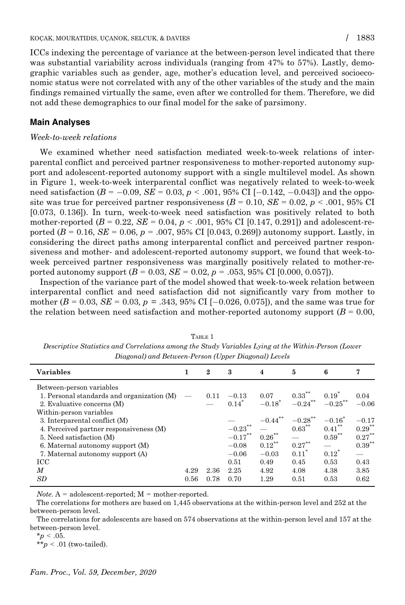ICCs indexing the percentage of variance at the between-person level indicated that there was substantial variability across individuals (ranging from 47% to 57%). Lastly, demographic variables such as gender, age, mother's education level, and perceived socioeconomic status were not correlated with any of the other variables of the study and the main findings remained virtually the same, even after we controlled for them. Therefore, we did not add these demographics to our final model for the sake of parsimony.

# Main Analyses

### Week-to-week relations

We examined whether need satisfaction mediated week-to-week relations of interparental conflict and perceived partner responsiveness to mother-reported autonomy support and adolescent-reported autonomy support with a single multilevel model. As shown in Figure 1, week-to-week interparental conflict was negatively related to week-to-week need satisfaction  $(B = -0.09, SE = 0.03, p < .001, 95\% \text{ CI } [-0.142, -0.043])$  and the opposite was true for perceived partner responsiveness  $(B = 0.10, SE = 0.02, p < .001, 95\% \text{ CI}$ [0.073, 0.136]). In turn, week-to-week need satisfaction was positively related to both mother-reported ( $B = 0.22$ ,  $SE = 0.04$ ,  $p < .001$ , 95% CI [0.147, 0.291]) and adolescent-reported  $(B = 0.16, SE = 0.06, p = .007, 95\% \text{ CI} [0.043, 0.269]$  autonomy support. Lastly, in considering the direct paths among interparental conflict and perceived partner responsiveness and mother- and adolescent-reported autonomy support, we found that week-toweek perceived partner responsiveness was marginally positively related to mother-reported autonomy support  $(B = 0.03, SE = 0.02, p = .053, 95\% \text{ CI } [0.000, 0.057]$ .

Inspection of the variance part of the model showed that week-to-week relation between interparental conflict and need satisfaction did not significantly vary from mother to mother  $(B = 0.03, SE = 0.03, p = .343, 95\% \text{ CI } [-0.026, 0.075]$ , and the same was true for the relation between need satisfaction and mother-reported autonomy support  $(B = 0.00,$ 

TABLE 1 Descriptive Statistics and Correlations among the Study Variables Lying at the Within-Person (Lower Diagonal) and Between-Person (Upper Diagonal) Levels

| <b>Variables</b>                           |      | $\bf{2}$ | 3          | 4                    | 5                   | 6          |           |
|--------------------------------------------|------|----------|------------|----------------------|---------------------|------------|-----------|
| Between-person variables                   |      |          |            |                      |                     |            |           |
| 1. Personal standards and organization (M) |      | 0.11     | $-0.13$    | 0.07                 | $0.33***$           | $0.19^*$   | 0.04      |
| 2. Evaluative concerns (M)                 |      |          | $0.14*$    | $-0.18$ <sup>*</sup> | $-0.24***$          | $-0.25$ ** | $-0.06$   |
| Within-person variables                    |      |          |            |                      |                     |            |           |
| 3. Interparental conflict (M)              |      |          |            | $-0.44$ **           | $-0.28$ **          | $-0.16^*$  | $-0.17$   |
| 4. Perceived partner responsiveness (M)    |      |          | $-0.23***$ |                      | $0.63***$           | $0.41***$  | $0.29***$ |
| 5. Need satisfaction (M)                   |      |          | $-0.17***$ | $0.26***$            |                     | $0.59***$  | $0.27***$ |
| 6. Maternal autonomy support (M)           |      |          | $-0.08$    | $0.12***$            | $0.27***$           |            | $0.39***$ |
| 7. Maternal autonomy support (A)           |      |          | $-0.06$    | $-0.03$              | $0.11$ <sup>*</sup> | $0.12^*$   |           |
| ICC                                        |      |          | 0.51       | 0.49                 | 0.45                | 0.53       | 0.43      |
| M                                          | 4.29 | 2.36     | 2.25       | 4.92                 | 4.08                | 4.38       | 3.85      |
| SD                                         | 0.56 | 0.78     | 0.70       | 1.29                 | 0.51                | 0.53       | 0.62      |
|                                            |      |          |            |                      |                     |            |           |

*Note.*  $A = \text{adolescent-reported}; M = \text{mother-reported}.$ 

The correlations for mothers are based on 1,445 observations at the within-person level and 252 at the between-person level.

The correlations for adolescents are based on 574 observations at the within-person level and 157 at the between-person level.

 $*_{p}$  < .05.

\*\* $p < .01$  (two-tailed).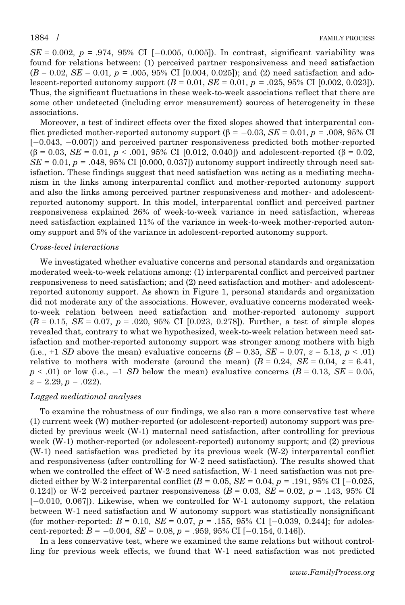$SE = 0.002$ ,  $p = .974$ , 95% CI  $[-0.005, 0.005]$ . In contrast, significant variability was found for relations between: (1) perceived partner responsiveness and need satisfaction  $(B = 0.02, SE = 0.01, p = .005, 95\% \text{ CI} [0.004, 0.025]$ ; and (2) need satisfaction and adolescent-reported autonomy support  $(B = 0.01, SE = 0.01, p = .025, 95\% \text{ CI } [0.002, 0.023]$ . Thus, the significant fluctuations in these week-to-week associations reflect that there are some other undetected (including error measurement) sources of heterogeneity in these associations.

Moreover, a test of indirect effects over the fixed slopes showed that interparental conflict predicted mother-reported autonomy support  $(\beta = -0.03, SE = 0.01, p = .008, 95\% \text{ CI})$ [-0.043, -0.007]) and perceived partner responsiveness predicted both mother-reported  $(\beta = 0.03, SE = 0.01, p < .001, 95\% \text{ CI} [0.012, 0.040])$  and adolescent-reported  $(\beta = 0.02,$  $SE = 0.01$ ,  $p = .048$ , 95% CI [0.000, 0.037]) autonomy support indirectly through need satisfaction. These findings suggest that need satisfaction was acting as a mediating mechanism in the links among interparental conflict and mother-reported autonomy support and also the links among perceived partner responsiveness and mother- and adolescentreported autonomy support. In this model, interparental conflict and perceived partner responsiveness explained 26% of week-to-week variance in need satisfaction, whereas need satisfaction explained 11% of the variance in week-to-week mother-reported autonomy support and 5% of the variance in adolescent-reported autonomy support.

## Cross-level interactions

We investigated whether evaluative concerns and personal standards and organization moderated week-to-week relations among: (1) interparental conflict and perceived partner responsiveness to need satisfaction; and (2) need satisfaction and mother- and adolescentreported autonomy support. As shown in Figure 1, personal standards and organization did not moderate any of the associations. However, evaluative concerns moderated weekto-week relation between need satisfaction and mother-reported autonomy support  $(B = 0.15, SE = 0.07, p = .020, 95\% \text{ CI}$  [0.023, 0.278]). Further, a test of simple slopes revealed that, contrary to what we hypothesized, week-to-week relation between need satisfaction and mother-reported autonomy support was stronger among mothers with high (i.e., +1 SD above the mean) evaluative concerns  $(B = 0.35, SE = 0.07, z = 5.13, p < .01)$ relative to mothers with moderate (around the mean)  $(B = 0.24, SE = 0.04, z = 6.41,$  $p < .01$ ) or low (i.e.,  $-1$  SD below the mean) evaluative concerns ( $B = 0.13$ ,  $SE = 0.05$ ,  $z = 2.29, p = .022$ .

## Lagged mediational analyses

To examine the robustness of our findings, we also ran a more conservative test where (1) current week (W) mother-reported (or adolescent-reported) autonomy support was predicted by previous week (W-1) maternal need satisfaction, after controlling for previous week (W-1) mother-reported (or adolescent-reported) autonomy support; and (2) previous (W-1) need satisfaction was predicted by its previous week (W-2) interparental conflict and responsiveness (after controlling for W-2 need satisfaction). The results showed that when we controlled the effect of W-2 need satisfaction, W-1 need satisfaction was not predicted either by W-2 interparental conflict  $(B = 0.05, SE = 0.04, p = .191, 95\% \text{ CI } [-0.025, \text{CI}]$ 0.124) or W-2 perceived partner responsiveness  $(B = 0.03, SE = 0.02, p = .143, 95\% \text{ CI}$ [-0.010, 0.067]). Likewise, when we controlled for W-1 autonomy support, the relation between W-1 need satisfaction and W autonomy support was statistically nonsignificant (for mother-reported:  $B = 0.10$ ,  $SE = 0.07$ ,  $p = .155$ , 95% CI [-0.039, 0.244]; for adolescent-reported:  $B = -0.004$ ,  $SE = 0.08$ ,  $p = .959$ ,  $95\%$  CI [-0.154, 0.146]).

In a less conservative test, where we examined the same relations but without controlling for previous week effects, we found that W-1 need satisfaction was not predicted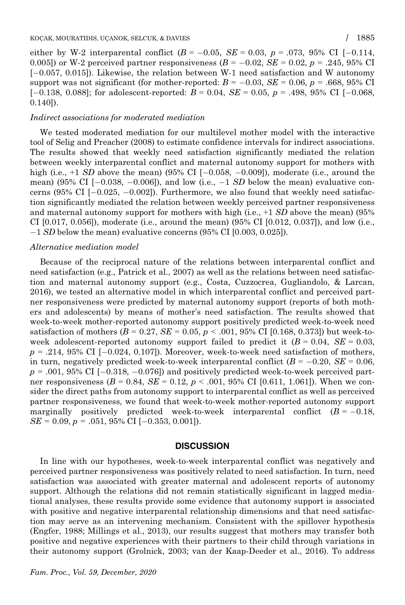either by W-2 interparental conflict  $(B = -0.05, SE = 0.03, p = .073, 95\% \text{ CI } [-0.114, 0.005, \text{CI}]$ 0.005]) or W-2 perceived partner responsiveness  $(B = -0.02, SE = 0.02, p = .245, 95\% \text{ CI})$ [-0.057, 0.015]). Likewise, the relation between W-1 need satisfaction and W autonomy support was not significant (for mother-reported:  $B = -0.03$ ,  $SE = 0.06$ ,  $p = .668$ ,  $95\%$  CI  $[-0.138, 0.088]$ ; for adolescent-reported:  $B = 0.04$ ,  $SE = 0.05$ ,  $p = .498$ ,  $95\%$  CI  $[-0.068, 0.088]$ 0.140]).

### Indirect associations for moderated mediation

We tested moderated mediation for our multilevel mother model with the interactive tool of Selig and Preacher (2008) to estimate confidence intervals for indirect associations. The results showed that weekly need satisfaction significantly mediated the relation between weekly interparental conflict and maternal autonomy support for mothers with high (i.e.,  $+1$  SD above the mean) (95% CI  $[-0.058, -0.009]$ ), moderate (i.e., around the mean)  $(95\% \text{ CI } [-0.038, -0.006])$ , and low  $(i.e., -1 SD \text{ below the mean})$  evaluative concerns ( $95\%$  CI [ $-0.025$ ,  $-0.002$ ]). Furthermore, we also found that weekly need satisfaction significantly mediated the relation between weekly perceived partner responsiveness and maternal autonomy support for mothers with high (i.e.,  $+1$  SD above the mean) (95% CI [0.017, 0.056]), moderate (i.e., around the mean) (95% CI [0.012, 0.037]), and low (i.e., -1 SD below the mean) evaluative concerns (95% CI [0.003, 0.025]).

### Alternative mediation model

Because of the reciprocal nature of the relations between interparental conflict and need satisfaction (e.g., Patrick et al., 2007) as well as the relations between need satisfaction and maternal autonomy support (e.g., Costa, Cuzzocrea, Gugliandolo, & Larcan, 2016), we tested an alternative model in which interparental conflict and perceived partner responsiveness were predicted by maternal autonomy support (reports of both mothers and adolescents) by means of mother's need satisfaction. The results showed that week-to-week mother-reported autonomy support positively predicted week-to-week need satisfaction of mothers  $(B = 0.27, SE = 0.05, p < .001, 95\%$  CI [0.168, 0.373]) but week-toweek adolescent-reported autonomy support failed to predict it  $(B = 0.04, SE = 0.03,$  $p = .214, 95\% \text{ CI}$  [-0.024, 0.107]). Moreover, week-to-week need satisfaction of mothers, in turn, negatively predicted week-to-week interparental conflict  $(B = -0.20, SE = 0.06,$  $p = .001, 95\% \text{ CI } [-0.318, -0.076]$  and positively predicted week-to-week perceived partner responsiveness ( $B = 0.84$ ,  $SE = 0.12$ ,  $p < .001$ , 95% CI [0.611, 1.061]). When we consider the direct paths from autonomy support to interparental conflict as well as perceived partner responsiveness, we found that week-to-week mother-reported autonomy support marginally positively predicted week-to-week interparental conflict  $(B = -0.18,$  $SE = 0.09, p = .051, 95\% \text{ CI} [-0.353, 0.001]).$ 

### **DISCUSSION**

In line with our hypotheses, week-to-week interparental conflict was negatively and perceived partner responsiveness was positively related to need satisfaction. In turn, need satisfaction was associated with greater maternal and adolescent reports of autonomy support. Although the relations did not remain statistically significant in lagged mediational analyses, these results provide some evidence that autonomy support is associated with positive and negative interparental relationship dimensions and that need satisfaction may serve as an intervening mechanism. Consistent with the spillover hypothesis (Engfer, 1988; Millings et al., 2013), our results suggest that mothers may transfer both positive and negative experiences with their partners to their child through variations in their autonomy support (Grolnick, 2003; van der Kaap-Deeder et al., 2016). To address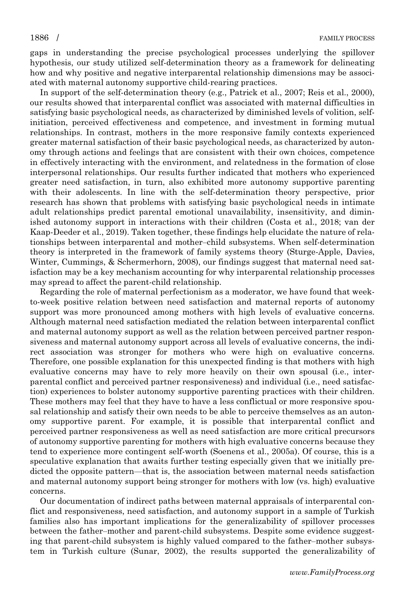## 1886 / FAMILY PROCESS

gaps in understanding the precise psychological processes underlying the spillover hypothesis, our study utilized self-determination theory as a framework for delineating how and why positive and negative interparental relationship dimensions may be associated with maternal autonomy supportive child-rearing practices.

In support of the self-determination theory (e.g., Patrick et al., 2007; Reis et al., 2000), our results showed that interparental conflict was associated with maternal difficulties in satisfying basic psychological needs, as characterized by diminished levels of volition, selfinitiation, perceived effectiveness and competence, and investment in forming mutual relationships. In contrast, mothers in the more responsive family contexts experienced greater maternal satisfaction of their basic psychological needs, as characterized by autonomy through actions and feelings that are consistent with their own choices, competence in effectively interacting with the environment, and relatedness in the formation of close interpersonal relationships. Our results further indicated that mothers who experienced greater need satisfaction, in turn, also exhibited more autonomy supportive parenting with their adolescents. In line with the self-determination theory perspective, prior research has shown that problems with satisfying basic psychological needs in intimate adult relationships predict parental emotional unavailability, insensitivity, and diminished autonomy support in interactions with their children (Costa et al., 2018; van der Kaap-Deeder et al., 2019). Taken together, these findings help elucidate the nature of relationships between interparental and mother–child subsystems. When self-determination theory is interpreted in the framework of family systems theory (Sturge-Apple, Davies, Winter, Cummings, & Schermerhorn, 2008), our findings suggest that maternal need satisfaction may be a key mechanism accounting for why interparental relationship processes may spread to affect the parent-child relationship.

Regarding the role of maternal perfectionism as a moderator, we have found that weekto-week positive relation between need satisfaction and maternal reports of autonomy support was more pronounced among mothers with high levels of evaluative concerns. Although maternal need satisfaction mediated the relation between interparental conflict and maternal autonomy support as well as the relation between perceived partner responsiveness and maternal autonomy support across all levels of evaluative concerns, the indirect association was stronger for mothers who were high on evaluative concerns. Therefore, one possible explanation for this unexpected finding is that mothers with high evaluative concerns may have to rely more heavily on their own spousal (i.e., interparental conflict and perceived partner responsiveness) and individual (i.e., need satisfaction) experiences to bolster autonomy supportive parenting practices with their children. These mothers may feel that they have to have a less conflictual or more responsive spousal relationship and satisfy their own needs to be able to perceive themselves as an autonomy supportive parent. For example, it is possible that interparental conflict and perceived partner responsiveness as well as need satisfaction are more critical precursors of autonomy supportive parenting for mothers with high evaluative concerns because they tend to experience more contingent self-worth (Soenens et al., 2005a). Of course, this is a speculative explanation that awaits further testing especially given that we initially predicted the opposite pattern—that is, the association between maternal needs satisfaction and maternal autonomy support being stronger for mothers with low (vs. high) evaluative concerns.

Our documentation of indirect paths between maternal appraisals of interparental conflict and responsiveness, need satisfaction, and autonomy support in a sample of Turkish families also has important implications for the generalizability of spillover processes between the father–mother and parent-child subsystems. Despite some evidence suggesting that parent-child subsystem is highly valued compared to the father–mother subsystem in Turkish culture (Sunar, 2002), the results supported the generalizability of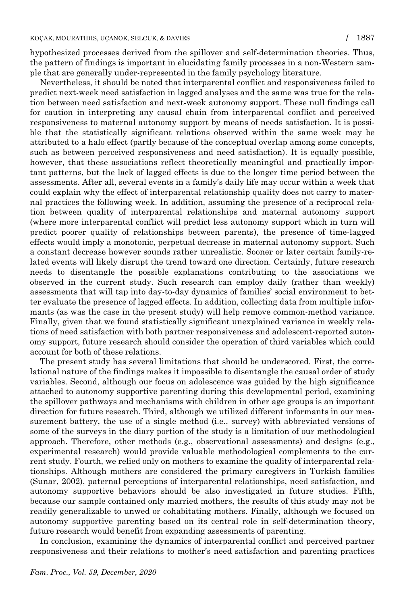hypothesized processes derived from the spillover and self-determination theories. Thus, the pattern of findings is important in elucidating family processes in a non-Western sample that are generally under-represented in the family psychology literature.

Nevertheless, it should be noted that interparental conflict and responsiveness failed to predict next-week need satisfaction in lagged analyses and the same was true for the relation between need satisfaction and next-week autonomy support. These null findings call for caution in interpreting any causal chain from interparental conflict and perceived responsiveness to maternal autonomy support by means of needs satisfaction. It is possible that the statistically significant relations observed within the same week may be attributed to a halo effect (partly because of the conceptual overlap among some concepts, such as between perceived responsiveness and need satisfaction). It is equally possible, however, that these associations reflect theoretically meaningful and practically important patterns, but the lack of lagged effects is due to the longer time period between the assessments. After all, several events in a family's daily life may occur within a week that could explain why the effect of interparental relationship quality does not carry to maternal practices the following week. In addition, assuming the presence of a reciprocal relation between quality of interparental relationships and maternal autonomy support (where more interparental conflict will predict less autonomy support which in turn will predict poorer quality of relationships between parents), the presence of time-lagged effects would imply a monotonic, perpetual decrease in maternal autonomy support. Such a constant decrease however sounds rather unrealistic. Sooner or later certain family-related events will likely disrupt the trend toward one direction. Certainly, future research needs to disentangle the possible explanations contributing to the associations we observed in the current study. Such research can employ daily (rather than weekly) assessments that will tap into day-to-day dynamics of families' social environment to better evaluate the presence of lagged effects. In addition, collecting data from multiple informants (as was the case in the present study) will help remove common-method variance. Finally, given that we found statistically significant unexplained variance in weekly relations of need satisfaction with both partner responsiveness and adolescent-reported autonomy support, future research should consider the operation of third variables which could account for both of these relations.

The present study has several limitations that should be underscored. First, the correlational nature of the findings makes it impossible to disentangle the causal order of study variables. Second, although our focus on adolescence was guided by the high significance attached to autonomy supportive parenting during this developmental period, examining the spillover pathways and mechanisms with children in other age groups is an important direction for future research. Third, although we utilized different informants in our measurement battery, the use of a single method (i.e., survey) with abbreviated versions of some of the surveys in the diary portion of the study is a limitation of our methodological approach. Therefore, other methods (e.g., observational assessments) and designs (e.g., experimental research) would provide valuable methodological complements to the current study. Fourth, we relied only on mothers to examine the quality of interparental relationships. Although mothers are considered the primary caregivers in Turkish families (Sunar, 2002), paternal perceptions of interparental relationships, need satisfaction, and autonomy supportive behaviors should be also investigated in future studies. Fifth, because our sample contained only married mothers, the results of this study may not be readily generalizable to unwed or cohabitating mothers. Finally, although we focused on autonomy supportive parenting based on its central role in self-determination theory, future research would benefit from expanding assessments of parenting.

In conclusion, examining the dynamics of interparental conflict and perceived partner responsiveness and their relations to mother's need satisfaction and parenting practices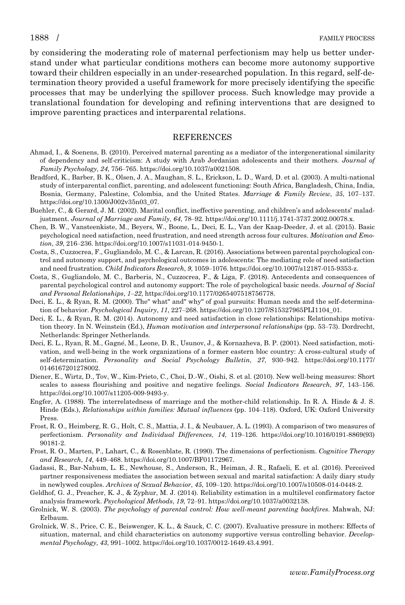by considering the moderating role of maternal perfectionism may help us better understand under what particular conditions mothers can become more autonomy supportive toward their children especially in an under-researched population. In this regard, self-determination theory provided a useful framework for more precisely identifying the specific processes that may be underlying the spillover process. Such knowledge may provide a translational foundation for developing and refining interventions that are designed to improve parenting practices and interparental relations.

## **REFERENCES**

- Ahmad, I., & Soenens, B. (2010). Perceived maternal parenting as a mediator of the intergenerational similarity of dependency and self-criticism: A study with Arab Jordanian adolescents and their mothers. Journal of Family Psychology, 24, 756–765.<https://doi.org/10.1037/a0021508>.
- Bradford, K., Barber, B. K., Olsen, J. A., Maughan, S. L., Erickson, L. D., Ward, D. et al. (2003). A multi-national study of interparental conflict, parenting, and adolescent functioning: South Africa, Bangladesh, China, India, Bosnia, Germany, Palestine, Colombia, and the United States. Marriage & Family Review, 35, 107–137. [https://doi.org/10.1300/J002v35n03\\_07.](https://doi.org/10.1300/J002v35n03_07)
- Buehler, C., & Gerard, J. M. (2002). Marital conflict, ineffective parenting, and children's and adolescents' maladjustment. Journal of Marriage and Family, 64, 78–92. [https://doi.org/10.1111/j.1741-3737.2002.00078.x.](https://doi.org/10.1111/j.1741-3737.2002.00078.x)
- Chen, B. W., Vansteenkiste, M., Beyers, W., Boone, L., Deci, E. L., Van der Kaap-Deeder, J. et al. (2015). Basic psychological need satisfaction, need frustration, and need strength across four cultures. Motivation and Emotion, 39, 216–236. [https://doi.org/10.1007/s11031-014-9450-1.](https://doi.org/10.1007/s11031-014-9450-1)
- Costa, S., Cuzzocrea, F., Gugliandolo, M. C., & Larcan, R. (2016). Associations between parental psychological control and autonomy support, and psychological outcomes in adolescents: The mediating role of need satisfaction and need frustration. Child Indicators Research, 9, 1059–1076.<https://doi.org/10.1007/s12187-015-9353-z>.
- Costa, S., Gugliandolo, M. C., Barberis, N., Cuzzocrea, F., & Liga, F. (2018). Antecedents and consequences of parental psychological control and autonomy support: The role of psychological basic needs. Journal of Social and Personal Relationships, 1–22,<https://doi.org/10.1177/0265407518756778>.
- Deci, E. L., & Ryan, R. M. (2000). The" what" and" why" of goal pursuits: Human needs and the self-determination of behavior. Psychological Inquiry, 11, 227–268. [https://doi.org/10.1207/S15327965PLI1104\\_01](https://doi.org/10.1207/S15327965PLI1104_01).
- Deci, E. L., & Ryan, R. M. (2014). Autonomy and need satisfaction in close relationships: Relationships motivation theory. In N. Weinstein (Ed.), *Human motivation and interpersonal relationships* (pp. 53–73). Dordrecht, Netherlands: Springer Netherlands.
- Deci, E. L., Ryan, R. M., Gagné, M., Leone, D. R., Usunov, J., & Kornazheva, B. P. (2001). Need satisfaction, motivation, and well-being in the work organizations of a former eastern bloc country: A cross-cultural study of self-determination. Personality and Social Psychology Bulletin, 27, 930–942. [https://doi.org/10.1177/](https://doi.org/10.1177/0146167201278002) [0146167201278002](https://doi.org/10.1177/0146167201278002).
- Diener, E., Wirtz, D., Tov, W., Kim-Prieto, C., Choi, D.-W., Oishi, S. et al. (2010). New well-being measures: Short scales to assess flourishing and positive and negative feelings. Social Indicators Research, 97, 143–156. <https://doi.org/10.1007/s11205-009-9493-y>.
- Engfer, A. (1988). The interrelatedness of marriage and the mother-child relationship. In R. A. Hinde & J. S. Hinde (Eds.), Relationships within families: Mutual influences (pp. 104–118). Oxford, UK: Oxford University Press.
- Frost, R. O., Heimberg, R. G., Holt, C. S., Mattia, J. I., & Neubauer, A. L. (1993). A comparison of two measures of perfectionism. Personality and Individual Differences, 14, 119–126. [https://doi.org/10.1016/0191-8869\(93\)](https://doi.org/10.1016/0191-8869(93)90181-2) [90181-2.](https://doi.org/10.1016/0191-8869(93)90181-2)
- Frost, R. O., Marten, P., Lahart, C., & Rosenblate, R. (1990). The dimensions of perfectionism. Cognitive Therapy and Research, 14, 449–468.<https://doi.org/10.1007/BF01172967>.
- Gadassi, R., Bar-Nahum, L. E., Newhouse, S., Anderson, R., Heiman, J. R., Rafaeli, E. et al. (2016). Perceived partner responsiveness mediates the association between sexual and marital satisfaction: A daily diary study in newlywed couples. Archives of Sexual Behavior, 45, 109–120. [https://doi.org/10.1007/s10508-014-0448-2.](https://doi.org/10.1007/s10508-014-0448-2)
- Geldhof, G. J., Preacher, K. J., & Zyphur, M. J. (2014). Reliability estimation in a multilevel confirmatory factor analysis framework. Psychological Methods, 19, 72–91.<https://doi.org/10.1037/a0032138>.
- Grolnick, W. S. (2003). The psychology of parental control: How well-meant parenting backfires. Mahwah, NJ: Erlbaum.
- Grolnick, W. S., Price, C. E., Beiswenger, K. L., & Sauck, C. C. (2007). Evaluative pressure in mothers: Effects of situation, maternal, and child characteristics on autonomy supportive versus controlling behavior. Developmental Psychology, 43, 991–1002.<https://doi.org/10.1037/0012-1649.43.4.991>.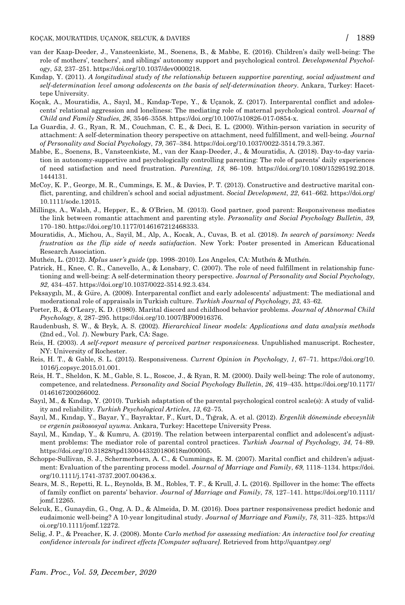- van der Kaap-Deeder, J., Vansteenkiste, M., Soenens, B., & Mabbe, E. (2016). Children's daily well-being: The role of mothers', teachers', and siblings' autonomy support and psychological control. Developmental Psychology, 53, 237–251.<https://doi.org/10.1037/dev0000218>.
- Kındap, Y. (2011). A longitudinal study of the relationship between supportive parenting, social adjustment and self-determination level among adolescents on the basis of self-determination theory. Ankara, Turkey: Hacettepe University.
- Koçak, A., Mouratidis, A., Sayıl, M., Kındap-Tepe, Y., & Uçanok, Z. (2017). Interparental conflict and adolescents' relational aggression and loneliness: The mediating role of maternal psychological control. Journal of Child and Family Studies, 26, 3546–3558. [https://doi.org/10.1007/s10826-017-0854-x.](https://doi.org/10.1007/s10826-017-0854-x)
- La Guardia, J. G., Ryan, R. M., Couchman, C. E., & Deci, E. L. (2000). Within-person variation in security of attachment: A self-determination theory perspective on attachment, need fulfillment, and well-being. Journal of Personality and Social Psychology, 79, 367–384. [https://doi.org/10.1037/0022-3514.79.3.367.](https://doi.org/10.1037/0022-3514.79.3.367)
- Mabbe, E., Soenens, B., Vansteenkiste, M., van der Kaap-Deeder, J., & Mouratidis, A. (2018). Day-to-day variation in autonomy-supportive and psychologically controlling parenting: The role of parents' daily experiences of need satisfaction and need frustration. Parenting, 18, 86–109. [https://doi.org/10.1080/15295192.2018.](https://doi.org/10.1080/15295192.2018.1444131) [1444131.](https://doi.org/10.1080/15295192.2018.1444131)
- McCoy, K. P., George, M. R., Cummings, E. M., & Davies, P. T. (2013). Constructive and destructive marital conflict, parenting, and children's school and social adjustment. Social Development, 22, 641–662. [https://doi.org/](https://doi.org/10.1111/sode.12015) [10.1111/sode.12015.](https://doi.org/10.1111/sode.12015)
- Millings, A., Walsh, J., Hepper, E., & O'Brien, M. (2013). Good partner, good parent: Responsiveness mediates the link between romantic attachment and parenting style. Personality and Social Psychology Bulletin, 39, 170–180. [https://doi.org/10.1177/0146167212468333.](https://doi.org/10.1177/0146167212468333)
- Mouratidis, A., Michou, A., Sayil, M., Alp, A., Kocak, A., Cuvas, B. et al. (2018). In search of parsimony: Needs frustration as the flip side of needs satisfaction. New York: Poster presented in American Educational Research Association.

Muthén, L. (2012). *Mplus user's guide* (pp. 1998–2010). Los Angeles, CA: Muthén & Muthén.

- Patrick, H., Knee, C. R., Canevello, A., & Lonsbary, C. (2007). The role of need fulfillment in relationship functioning and well-being: A self-determination theory perspective. Journal of Personality and Social Psychology, 92, 434–457.<https://doi.org/10.1037/0022-3514.92.3.434>.
- Peksaygılı, M., & Güre, A. (2008). Interparental conflict and early adolescents' adjustment: The mediational and moderational role of appraisals in Turkish culture. Turkish Journal of Psychology, 23, 43–62.
- Porter, B., & O'Leary, K. D. (1980). Marital discord and childhood behavior problems. Journal of Abnormal Child Psychology, 8, 287–295. [https://doi.org/10.1007/BF00916376.](https://doi.org/10.1007/BF00916376)
- Raudenbush, S. W., & Bryk, A. S. (2002). Hierarchical linear models: Applications and data analysis methods (2nd ed., Vol. 1). Newbury Park, CA: Sage.
- Reis, H. (2003). A self-report measure of perceived partner responsiveness. Unpublished manuscript. Rochester, NY: University of Rochester.
- Reis, H. T., & Gable, S. L. (2015). Responsiveness. Current Opinion in Psychology, 1, 67–71. [https://doi.org/10.](https://doi.org/10.1016/j.copsyc.2015.01.001) [1016/j.copsyc.2015.01.001](https://doi.org/10.1016/j.copsyc.2015.01.001).
- Reis, H. T., Sheldon, K. M., Gable, S. L., Roscoe, J., & Ryan, R. M. (2000). Daily well-being: The role of autonomy, competence, and relatedness. Personality and Social Psychology Bulletin, 26, 419–435. [https://doi.org/10.1177/](https://doi.org/10.1177/0146167200266002) [0146167200266002](https://doi.org/10.1177/0146167200266002).
- Sayıl, M., & Kındap, Y. (2010). Turkish adaptation of the parental psychological control scale(s): A study of validity and reliability. Turkish Psychological Articles, 13, 62–75.
- Sayıl, M., Kındap, Y., Bayar, Y., Bayraktar, F., Kurt, D., Tığrak, A. et al. (2012). Ergenlik döneminde ebeveynlik ve ergenin psikososyal uyumu. Ankara, Turkey: Hacettepe University Press.
- Sayıl, M., Kındap, Y., & Kumru, A. (2019). The relation between interparental conflict and adolescent's adjustment problems: The mediator role of parental control practices. Turkish Journal of Psychology, 34, 74–89. <https://doi.org/10.31828/tpd1300443320180618m000005>.
- Schoppe-Sullivan, S. J., Schermerhorn, A. C., & Cummings, E. M. (2007). Marital conflict and children's adjustment: Evaluation of the parenting process model. Journal of Marriage and Family, 69, 1118–1134. [https://doi.](https://doi.org/10.1111/j.1741-3737.2007.00436.x) [org/10.1111/j.1741-3737.2007.00436.x.](https://doi.org/10.1111/j.1741-3737.2007.00436.x)
- Sears, M. S., Repetti, R. L., Reynolds, B. M., Robles, T. F., & Krull, J. L. (2016). Spillover in the home: The effects of family conflict on parents' behavior. Journal of Marriage and Family, 78, 127–141. [https://doi.org/10.1111/](https://doi.org/10.1111/jomf.12265) [jomf.12265](https://doi.org/10.1111/jomf.12265).
- Selcuk, E., Gunaydin, G., Ong, A. D., & Almeida, D. M. (2016). Does partner responsiveness predict hedonic and eudaimonic well-being? A 10-year longitudinal study. Journal of Marriage and Family, 78, 311–325. [https://d](https://doi.org/10.1111/jomf.12272) [oi.org/10.1111/jomf.12272.](https://doi.org/10.1111/jomf.12272)
- Selig, J. P., & Preacher, K. J. (2008). Monte Carlo method for assessing mediation: An interactive tool for creating confidence intervals for indirect effects [Computer software]. Retrieved from<http://quantpsy.org/>